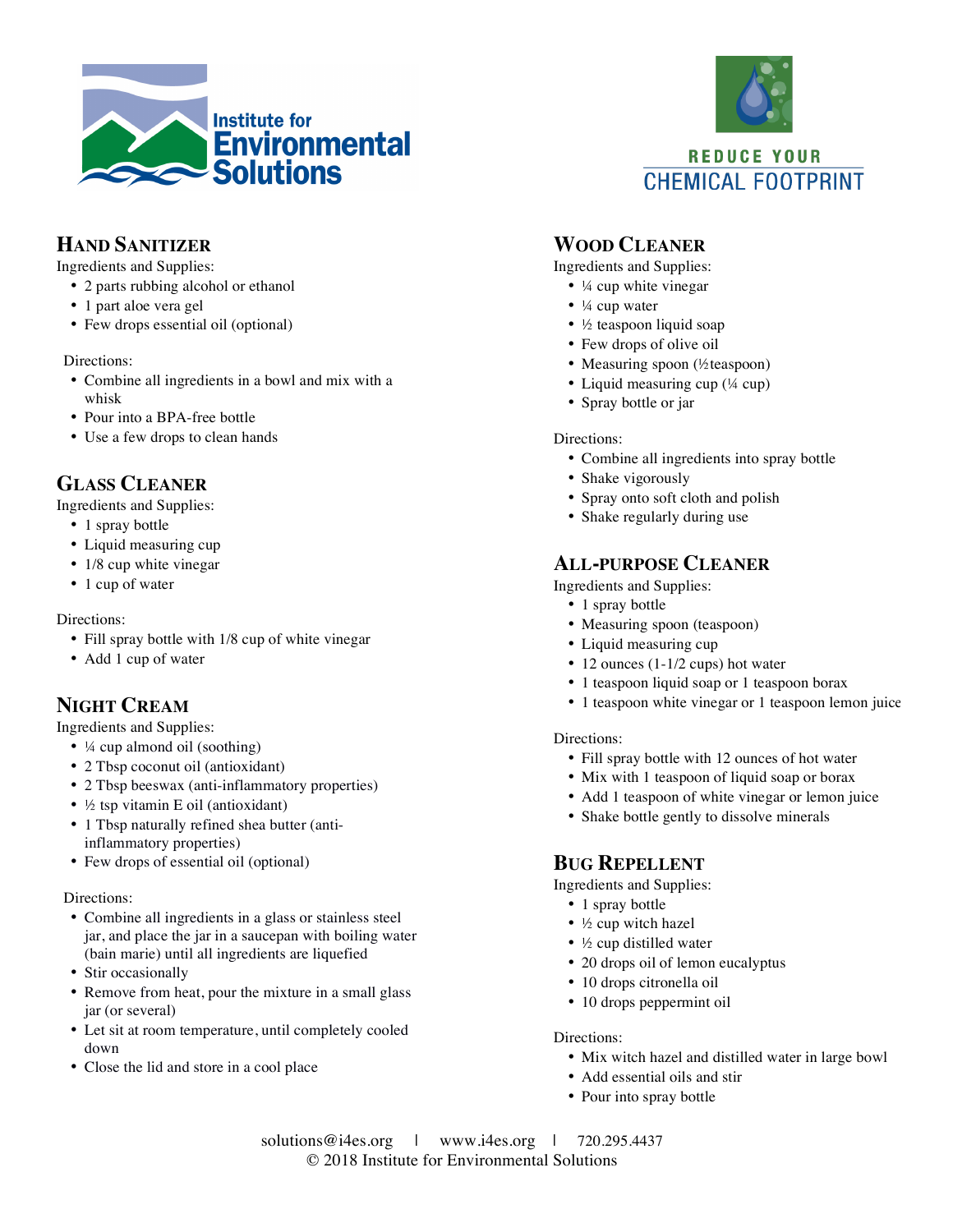



**CHEMICAL FOOTPRINT** 

# **HAND SANITIZER**

Ingredients and Supplies:

- 2 parts rubbing alcohol or ethanol
- 1 part aloe vera gel
- Few drops essential oil (optional)

Directions:

- Combine all ingredients in a bowl and mix with a whisk
- Pour into a BPA-free bottle
- Use a few drops to clean hands

## **GLASS CLEANER**

Ingredients and Supplies:

- 1 spray bottle
- Liquid measuring cup
- 1/8 cup white vinegar
- 1 cup of water

Directions:

- Fill spray bottle with 1/8 cup of white vinegar
- Add 1 cup of water

# **NIGHT CREAM**

Ingredients and Supplies:

- ¼ cup almond oil (soothing)
- 2 Tbsp coconut oil (antioxidant)
- 2 Tbsp beeswax (anti-inflammatory properties)
- ½ tsp vitamin E oil (antioxidant)
- 1 Tbsp naturally refined shea butter (antiinflammatory properties)
- Few drops of essential oil (optional)

Directions:

- Combine all ingredients in a glass or stainless steel jar, and place the jar in a saucepan with boiling water (bain marie) until all ingredients are liquefied
- Stir occasionally
- Remove from heat, pour the mixture in a small glass jar (or several)
- Let sit at room temperature, until completely cooled down
- Close the lid and store in a cool place

### **WOOD CLEANER**

Ingredients and Supplies:

- ¼ cup white vinegar
- $\bullet$   $\frac{1}{4}$  cup water
- ½ teaspoon liquid soap
- Few drops of olive oil
- Measuring spoon (½teaspoon)
- Liquid measuring cup (¼ cup)
- Spray bottle or jar

### Directions:

- Combine all ingredients into spray bottle
- Shake vigorously
- Spray onto soft cloth and polish
- Shake regularly during use

### **ALL-PURPOSE CLEANER**

Ingredients and Supplies:

- 1 spray bottle
- Measuring spoon (teaspoon)
- Liquid measuring cup
- 12 ounces (1-1/2 cups) hot water
- 1 teaspoon liquid soap or 1 teaspoon borax
- 1 teaspoon white vinegar or 1 teaspoon lemon juice

#### Directions:

- Fill spray bottle with 12 ounces of hot water
- Mix with 1 teaspoon of liquid soap or borax
- Add 1 teaspoon of white vinegar or lemon juice
- Shake bottle gently to dissolve minerals

### **BUG REPELLENT**

Ingredients and Supplies:

- 1 spray bottle
- ½ cup witch hazel
- ½ cup distilled water
- 20 drops oil of lemon eucalyptus
- 10 drops citronella oil
- 10 drops peppermint oil

#### Directions:

- Mix witch hazel and distilled water in large bowl
- Add essential oils and stir
- Pour into spray bottle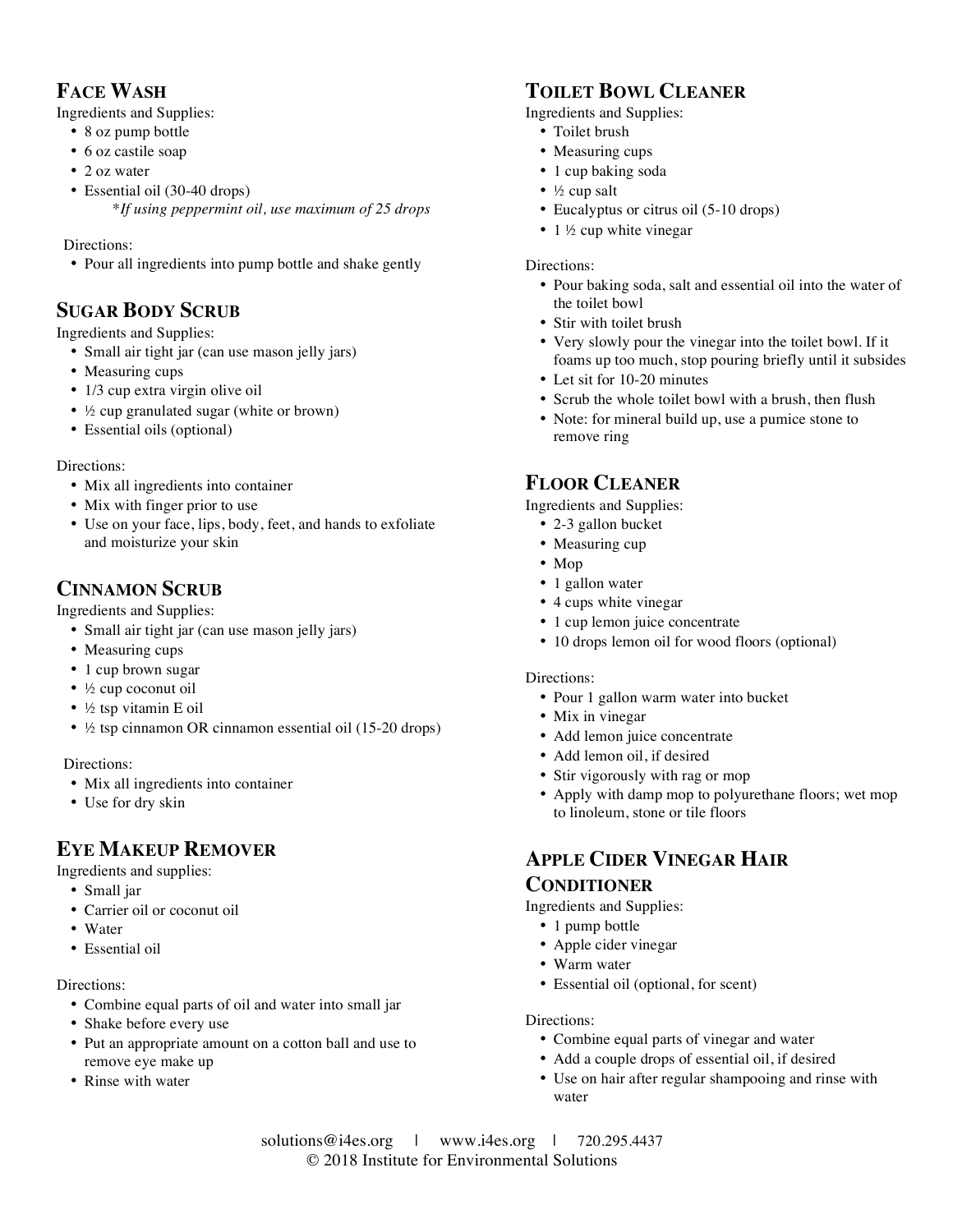# **FACE WASH**

Ingredients and Supplies:

- 8 oz pump bottle
- 6 oz castile soap
- 2 oz water
- Essential oil (30-40 drops) \**If using peppermint oil, use maximum of 25 drops*

Directions:

• Pour all ingredients into pump bottle and shake gently

## **SUGAR BODY SCRUB**

Ingredients and Supplies:

- Small air tight jar (can use mason jelly jars)
- Measuring cups
- 1/3 cup extra virgin olive oil
- ½ cup granulated sugar (white or brown)
- Essential oils (optional)

### Directions:

- Mix all ingredients into container
- Mix with finger prior to use
- Use on your face, lips, body, feet, and hands to exfoliate and moisturize your skin

### **CINNAMON SCRUB**

Ingredients and Supplies:

- Small air tight jar (can use mason jelly jars)
- Measuring cups
- 1 cup brown sugar
- ½ cup coconut oil
- ½ tsp vitamin E oil
- ½ tsp cinnamon OR cinnamon essential oil (15-20 drops)

Directions:

- Mix all ingredients into container
- Use for dry skin

### **EYE MAKEUP REMOVER**

Ingredients and supplies:

- Small jar
- Carrier oil or coconut oil
- Water
- Essential oil

### Directions:

- Combine equal parts of oil and water into small jar
- Shake before every use
- Put an appropriate amount on a cotton ball and use to remove eye make up
- Rinse with water

## **TOILET BOWL CLEANER**

Ingredients and Supplies:

- Toilet brush
- Measuring cups
- 1 cup baking soda
- $\frac{1}{2}$  cup salt
- Eucalyptus or citrus oil (5-10 drops)
- $1\frac{1}{2}$  cup white vinegar

#### Directions:

- Pour baking soda, salt and essential oil into the water of the toilet bowl
- Stir with toilet brush
- Very slowly pour the vinegar into the toilet bowl. If it foams up too much, stop pouring briefly until it subsides
- Let sit for 10-20 minutes
- Scrub the whole toilet bowl with a brush, then flush
- Note: for mineral build up, use a pumice stone to remove ring

### **FLOOR CLEANER**

Ingredients and Supplies:

- 2-3 gallon bucket
- Measuring cup
- Mop
- 1 gallon water
- 4 cups white vinegar
- 1 cup lemon juice concentrate
- 10 drops lemon oil for wood floors (optional)

#### Directions:

- Pour 1 gallon warm water into bucket
- Mix in vinegar
- Add lemon juice concentrate
- Add lemon oil, if desired
- Stir vigorously with rag or mop
- Apply with damp mop to polyurethane floors; wet mop to linoleum, stone or tile floors

## **APPLE CIDER VINEGAR HAIR CONDITIONER**

Ingredients and Supplies:

- 1 pump bottle
- Apple cider vinegar
- Warm water
- Essential oil (optional, for scent)

#### Directions:

- Combine equal parts of vinegar and water
- Add a couple drops of essential oil, if desired
- Use on hair after regular shampooing and rinse with water

solutions@i4es.org | www.i4es.org |  $720.295.4437$ © 2018 Institute for Environmental Solutions